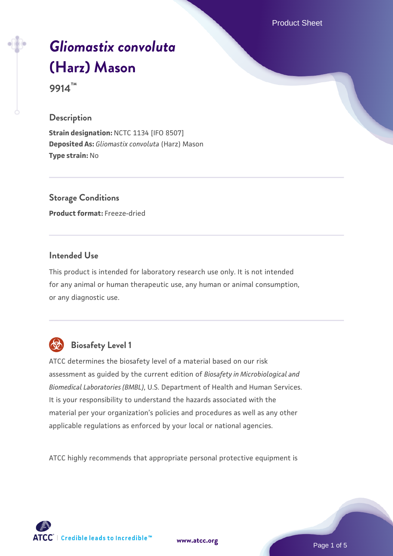Product Sheet

# *[Gliomastix convoluta](https://www.atcc.org/products/9914)* **[\(Harz\) Mason](https://www.atcc.org/products/9914)**

**9914™**

#### **Description**

**Strain designation:** NCTC 1134 [IFO 8507] **Deposited As:** *Gliomastix convoluta* (Harz) Mason **Type strain:** No

**Storage Conditions Product format:** Freeze-dried

# **Intended Use**

This product is intended for laboratory research use only. It is not intended for any animal or human therapeutic use, any human or animal consumption, or any diagnostic use.



# **Biosafety Level 1**

ATCC determines the biosafety level of a material based on our risk assessment as guided by the current edition of *Biosafety in Microbiological and Biomedical Laboratories (BMBL)*, U.S. Department of Health and Human Services. It is your responsibility to understand the hazards associated with the material per your organization's policies and procedures as well as any other applicable regulations as enforced by your local or national agencies.

ATCC highly recommends that appropriate personal protective equipment is

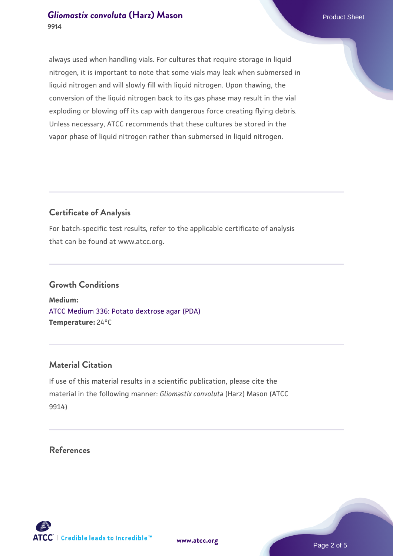# **[Gliomastix convoluta](https://www.atcc.org/products/9914) [\(Harz\) Mason](https://www.atcc.org/products/9914) Product Sheet** Product Sheet **9914**

always used when handling vials. For cultures that require storage in liquid nitrogen, it is important to note that some vials may leak when submersed in liquid nitrogen and will slowly fill with liquid nitrogen. Upon thawing, the conversion of the liquid nitrogen back to its gas phase may result in the vial exploding or blowing off its cap with dangerous force creating flying debris. Unless necessary, ATCC recommends that these cultures be stored in the vapor phase of liquid nitrogen rather than submersed in liquid nitrogen.

# **Certificate of Analysis**

For batch-specific test results, refer to the applicable certificate of analysis that can be found at www.atcc.org.

#### **Growth Conditions**

**Medium:**  [ATCC Medium 336: Potato dextrose agar \(PDA\)](https://www.atcc.org/-/media/product-assets/documents/microbial-media-formulations/3/3/6/atcc-medium-336.pdf?rev=d9160ad44d934cd8b65175461abbf3b9) **Temperature:** 24°C

#### **Material Citation**

If use of this material results in a scientific publication, please cite the material in the following manner: *Gliomastix convoluta* (Harz) Mason (ATCC 9914)

#### **References**

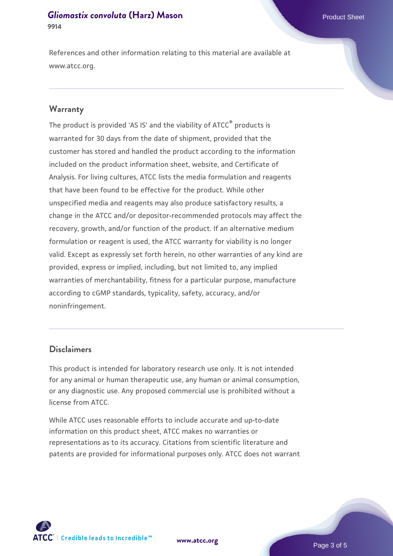# **[Gliomastix convoluta](https://www.atcc.org/products/9914) [\(Harz\) Mason](https://www.atcc.org/products/9914) Product Sheet** Product Sheet **9914**

References and other information relating to this material are available at www.atcc.org.

#### **Warranty**

The product is provided 'AS IS' and the viability of ATCC® products is warranted for 30 days from the date of shipment, provided that the customer has stored and handled the product according to the information included on the product information sheet, website, and Certificate of Analysis. For living cultures, ATCC lists the media formulation and reagents that have been found to be effective for the product. While other unspecified media and reagents may also produce satisfactory results, a change in the ATCC and/or depositor-recommended protocols may affect the recovery, growth, and/or function of the product. If an alternative medium formulation or reagent is used, the ATCC warranty for viability is no longer valid. Except as expressly set forth herein, no other warranties of any kind are provided, express or implied, including, but not limited to, any implied warranties of merchantability, fitness for a particular purpose, manufacture according to cGMP standards, typicality, safety, accuracy, and/or noninfringement.

#### **Disclaimers**

This product is intended for laboratory research use only. It is not intended for any animal or human therapeutic use, any human or animal consumption, or any diagnostic use. Any proposed commercial use is prohibited without a license from ATCC.

While ATCC uses reasonable efforts to include accurate and up-to-date information on this product sheet, ATCC makes no warranties or representations as to its accuracy. Citations from scientific literature and patents are provided for informational purposes only. ATCC does not warrant

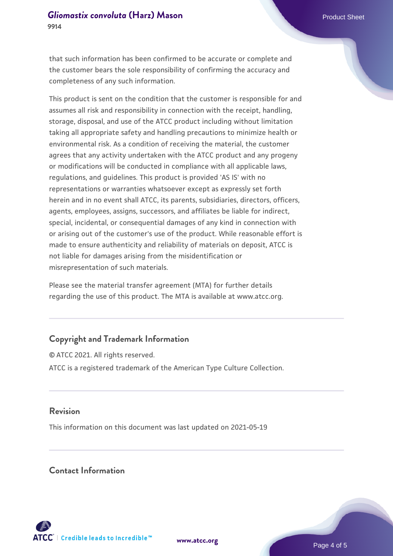that such information has been confirmed to be accurate or complete and the customer bears the sole responsibility of confirming the accuracy and completeness of any such information.

This product is sent on the condition that the customer is responsible for and assumes all risk and responsibility in connection with the receipt, handling, storage, disposal, and use of the ATCC product including without limitation taking all appropriate safety and handling precautions to minimize health or environmental risk. As a condition of receiving the material, the customer agrees that any activity undertaken with the ATCC product and any progeny or modifications will be conducted in compliance with all applicable laws, regulations, and guidelines. This product is provided 'AS IS' with no representations or warranties whatsoever except as expressly set forth herein and in no event shall ATCC, its parents, subsidiaries, directors, officers, agents, employees, assigns, successors, and affiliates be liable for indirect, special, incidental, or consequential damages of any kind in connection with or arising out of the customer's use of the product. While reasonable effort is made to ensure authenticity and reliability of materials on deposit, ATCC is not liable for damages arising from the misidentification or misrepresentation of such materials.

Please see the material transfer agreement (MTA) for further details regarding the use of this product. The MTA is available at www.atcc.org.

# **Copyright and Trademark Information**

© ATCC 2021. All rights reserved. ATCC is a registered trademark of the American Type Culture Collection.

#### **Revision**

This information on this document was last updated on 2021-05-19

# **Contact Information**



**[www.atcc.org](http://www.atcc.org)**